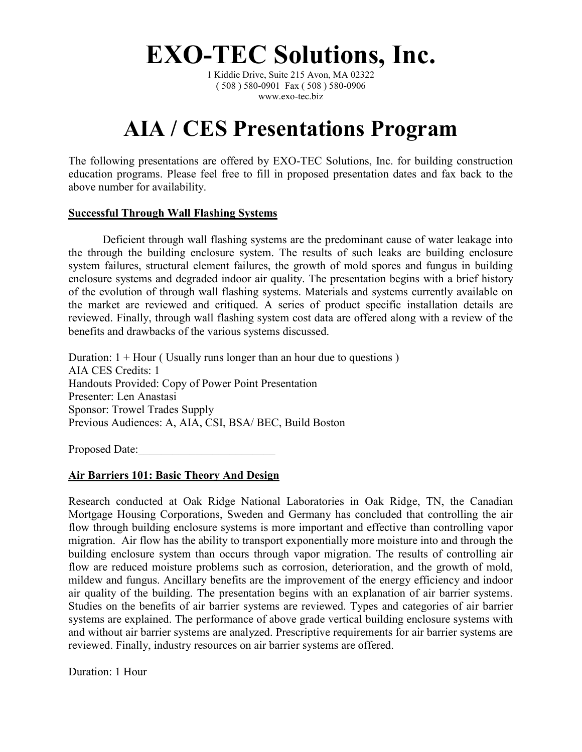**EXO-TEC Solutions, Inc.**

1 Kiddie Drive, Suite 215 Avon, MA 02322 ( 508 ) 580-0901 Fax ( 508 ) 580-0906 www.exo-tec.biz

# **AIA / CES Presentations Program**

The following presentations are offered by EXO-TEC Solutions, Inc. for building construction education programs. Please feel free to fill in proposed presentation dates and fax back to the above number for availability.

## **Successful Through Wall Flashing Systems**

Deficient through wall flashing systems are the predominant cause of water leakage into the through the building enclosure system. The results of such leaks are building enclosure system failures, structural element failures, the growth of mold spores and fungus in building enclosure systems and degraded indoor air quality. The presentation begins with a brief history of the evolution of through wall flashing systems. Materials and systems currently available on the market are reviewed and critiqued. A series of product specific installation details are reviewed. Finally, through wall flashing system cost data are offered along with a review of the benefits and drawbacks of the various systems discussed.

Duration:  $1 +$  Hour (Usually runs longer than an hour due to questions) AIA CES Credits: 1 Handouts Provided: Copy of Power Point Presentation Presenter: Len Anastasi Sponsor: Trowel Trades Supply Previous Audiences: A, AIA, CSI, BSA/ BEC, Build Boston

Proposed Date:

## **Air Barriers 101: Basic Theory And Design**

Research conducted at Oak Ridge National Laboratories in Oak Ridge, TN, the Canadian Mortgage Housing Corporations, Sweden and Germany has concluded that controlling the air flow through building enclosure systems is more important and effective than controlling vapor migration. Air flow has the ability to transport exponentially more moisture into and through the building enclosure system than occurs through vapor migration. The results of controlling air flow are reduced moisture problems such as corrosion, deterioration, and the growth of mold, mildew and fungus. Ancillary benefits are the improvement of the energy efficiency and indoor air quality of the building. The presentation begins with an explanation of air barrier systems. Studies on the benefits of air barrier systems are reviewed. Types and categories of air barrier systems are explained. The performance of above grade vertical building enclosure systems with and without air barrier systems are analyzed. Prescriptive requirements for air barrier systems are reviewed. Finally, industry resources on air barrier systems are offered.

Duration: 1 Hour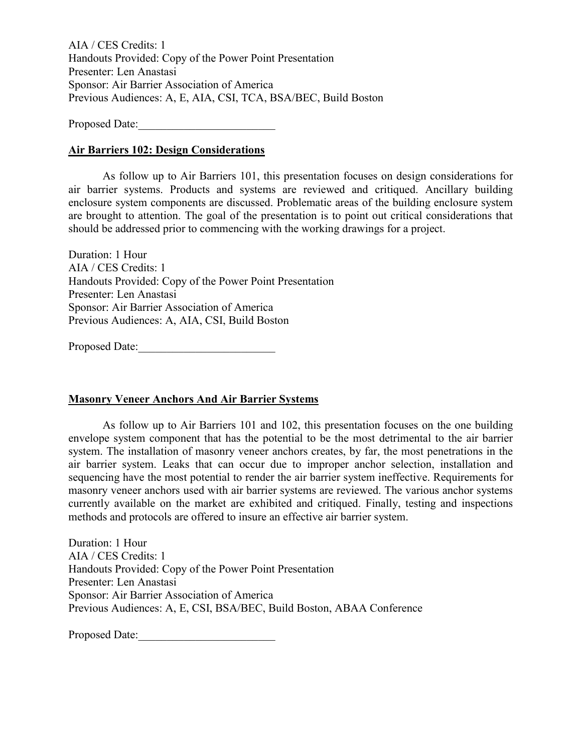AIA / CES Credits: 1 Handouts Provided: Copy of the Power Point Presentation Presenter: Len Anastasi Sponsor: Air Barrier Association of America Previous Audiences: A, E, AIA, CSI, TCA, BSA/BEC, Build Boston

Proposed Date:

## **Air Barriers 102: Design Considerations**

As follow up to Air Barriers 101, this presentation focuses on design considerations for air barrier systems. Products and systems are reviewed and critiqued. Ancillary building enclosure system components are discussed. Problematic areas of the building enclosure system are brought to attention. The goal of the presentation is to point out critical considerations that should be addressed prior to commencing with the working drawings for a project.

Duration: 1 Hour AIA / CES Credits: 1 Handouts Provided: Copy of the Power Point Presentation Presenter: Len Anastasi Sponsor: Air Barrier Association of America Previous Audiences: A, AIA, CSI, Build Boston

Proposed Date:\_\_\_\_\_\_\_\_\_\_\_\_\_\_\_\_\_\_\_\_\_\_\_\_

## **Masonry Veneer Anchors And Air Barrier Systems**

As follow up to Air Barriers 101 and 102, this presentation focuses on the one building envelope system component that has the potential to be the most detrimental to the air barrier system. The installation of masonry veneer anchors creates, by far, the most penetrations in the air barrier system. Leaks that can occur due to improper anchor selection, installation and sequencing have the most potential to render the air barrier system ineffective. Requirements for masonry veneer anchors used with air barrier systems are reviewed. The various anchor systems currently available on the market are exhibited and critiqued. Finally, testing and inspections methods and protocols are offered to insure an effective air barrier system.

Duration: 1 Hour AIA / CES Credits: 1 Handouts Provided: Copy of the Power Point Presentation Presenter: Len Anastasi Sponsor: Air Barrier Association of America Previous Audiences: A, E, CSI, BSA/BEC, Build Boston, ABAA Conference

Proposed Date: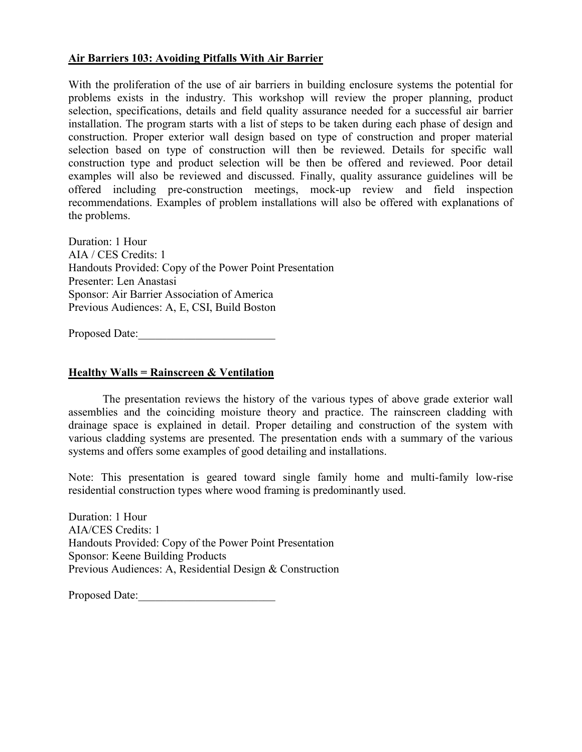## **Air Barriers 103: Avoiding Pitfalls With Air Barrier**

With the proliferation of the use of air barriers in building enclosure systems the potential for problems exists in the industry. This workshop will review the proper planning, product selection, specifications, details and field quality assurance needed for a successful air barrier installation. The program starts with a list of steps to be taken during each phase of design and construction. Proper exterior wall design based on type of construction and proper material selection based on type of construction will then be reviewed. Details for specific wall construction type and product selection will be then be offered and reviewed. Poor detail examples will also be reviewed and discussed. Finally, quality assurance guidelines will be offered including pre-construction meetings, mock-up review and field inspection recommendations. Examples of problem installations will also be offered with explanations of the problems.

Duration: 1 Hour AIA / CES Credits: 1 Handouts Provided: Copy of the Power Point Presentation Presenter: Len Anastasi Sponsor: Air Barrier Association of America Previous Audiences: A, E, CSI, Build Boston

Proposed Date:

## **Healthy Walls = Rainscreen & Ventilation**

The presentation reviews the history of the various types of above grade exterior wall assemblies and the coinciding moisture theory and practice. The rainscreen cladding with drainage space is explained in detail. Proper detailing and construction of the system with various cladding systems are presented. The presentation ends with a summary of the various systems and offers some examples of good detailing and installations.

Note: This presentation is geared toward single family home and multi-family low-rise residential construction types where wood framing is predominantly used.

Duration: 1 Hour AIA/CES Credits: 1 Handouts Provided: Copy of the Power Point Presentation Sponsor: Keene Building Products Previous Audiences: A, Residential Design & Construction

Proposed Date: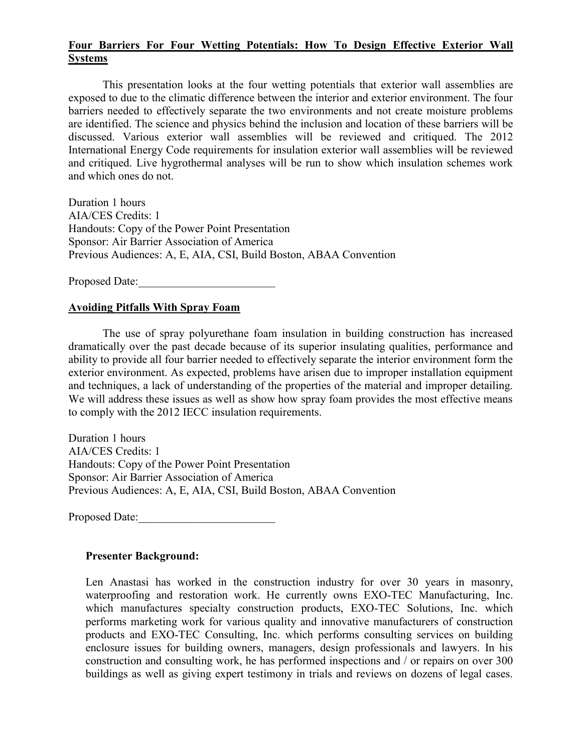## **Four Barriers For Four Wetting Potentials: How To Design Effective Exterior Wall Systems**

This presentation looks at the four wetting potentials that exterior wall assemblies are exposed to due to the climatic difference between the interior and exterior environment. The four barriers needed to effectively separate the two environments and not create moisture problems are identified. The science and physics behind the inclusion and location of these barriers will be discussed. Various exterior wall assemblies will be reviewed and critiqued. The 2012 International Energy Code requirements for insulation exterior wall assemblies will be reviewed and critiqued. Live hygrothermal analyses will be run to show which insulation schemes work and which ones do not.

Duration 1 hours AIA/CES Credits: 1 Handouts: Copy of the Power Point Presentation Sponsor: Air Barrier Association of America Previous Audiences: A, E, AIA, CSI, Build Boston, ABAA Convention

Proposed Date:

## **Avoiding Pitfalls With Spray Foam**

The use of spray polyurethane foam insulation in building construction has increased dramatically over the past decade because of its superior insulating qualities, performance and ability to provide all four barrier needed to effectively separate the interior environment form the exterior environment. As expected, problems have arisen due to improper installation equipment and techniques, a lack of understanding of the properties of the material and improper detailing. We will address these issues as well as show how spray foam provides the most effective means to comply with the 2012 IECC insulation requirements.

Duration 1 hours AIA/CES Credits: 1 Handouts: Copy of the Power Point Presentation Sponsor: Air Barrier Association of America Previous Audiences: A, E, AIA, CSI, Build Boston, ABAA Convention

Proposed Date:

## **Presenter Background:**

Len Anastasi has worked in the construction industry for over 30 years in masonry, waterproofing and restoration work. He currently owns EXO-TEC Manufacturing, Inc. which manufactures specialty construction products, EXO-TEC Solutions, Inc. which performs marketing work for various quality and innovative manufacturers of construction products and EXO-TEC Consulting, Inc. which performs consulting services on building enclosure issues for building owners, managers, design professionals and lawyers. In his construction and consulting work, he has performed inspections and / or repairs on over 300 buildings as well as giving expert testimony in trials and reviews on dozens of legal cases.